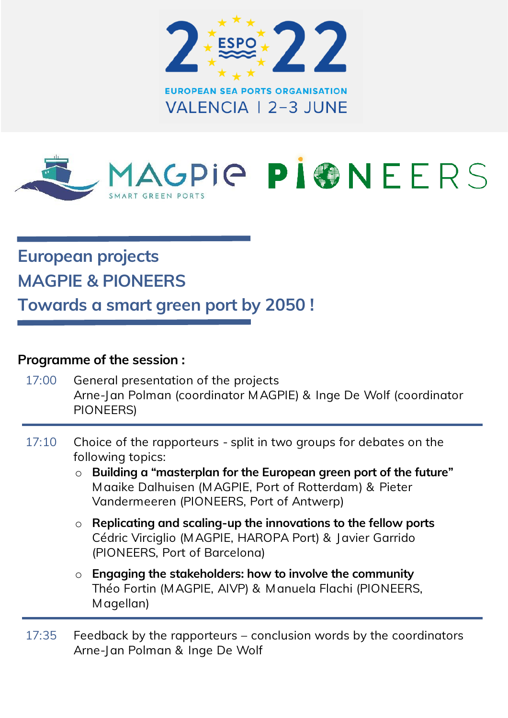



## European projects MAGPIE & PIONEERS

Towards a smart green port by 2050 !

#### Programme of the session :

- 17:00 General presentation of the projects Arne-Jan Polman (coordinator MAGPIE) & Inge De Wolf (coordinator PIONEERS)
- 17:10 Choice of the rapporteurs split in two groups for debates on the following topics:
	- $\circ$  Building a "masterplan for the European green port of the future" Maaike Dalhuisen (MAGPIE, Port of Rotterdam) & Pieter Vandermeeren (PIONEERS, Port of Antwerp)
	- $\circ$  Replicating and scaling-up the innovations to the fellow ports Cédric Virciglio (MAGPIE, HAROPA Port) & Javier Garrido (PIONEERS, Port of Barcelona)
	- $\circ$  Engaging the stakeholders: how to involve the community Théo Fortin (MAGPIE, AIVP) & Manuela Flachi (PIONEERS, Magellan)
- 17:35 Feedback by the rapporteurs conclusion words by the coordinators Arne-Jan Polman & Inge De Wolf